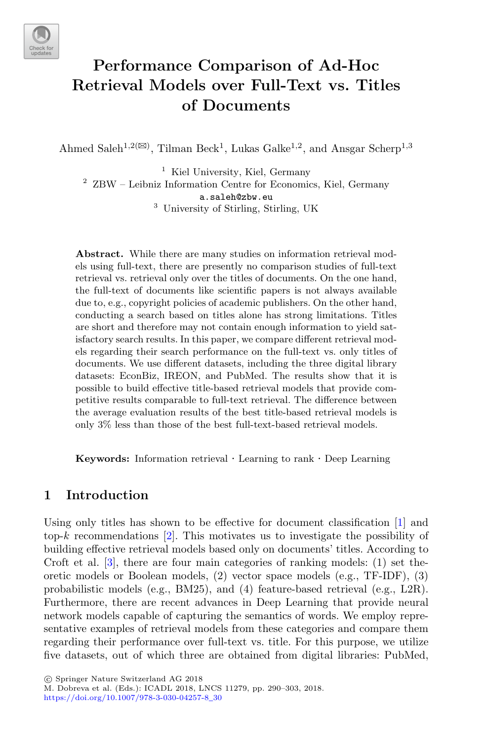

# **Performance Comparison of Ad-Hoc Retrieval Models over Full-Text vs. Titles of Documents**

Ahmed Saleh<sup>1,2( $\boxtimes$ )</sup>, Tilman Beck<sup>1</sup>, Lukas Galke<sup>1,2</sup>, and Ansgar Scherp<sup>1,3</sup>

<sup>1</sup> Kiel University, Kiel, Germany <sup>2</sup> ZBW – Leibniz Information Centre for Economics, Kiel, Germany a.saleh@zbw.eu <sup>3</sup> University of Stirling, Stirling, UK

**Abstract.** While there are many studies on information retrieval models using full-text, there are presently no comparison studies of full-text retrieval vs. retrieval only over the titles of documents. On the one hand, the full-text of documents like scientific papers is not always available due to, e.g., copyright policies of academic publishers. On the other hand, conducting a search based on titles alone has strong limitations. Titles are short and therefore may not contain enough information to yield satisfactory search results. In this paper, we compare different retrieval models regarding their search performance on the full-text vs. only titles of documents. We use different datasets, including the three digital library datasets: EconBiz, IREON, and PubMed. The results show that it is possible to build effective title-based retrieval models that provide competitive results comparable to full-text retrieval. The difference between the average evaluation results of the best title-based retrieval models is only 3% less than those of the best full-text-based retrieval models.

**Keywords:** Information retrieval · Learning to rank · Deep Learning

# **1 Introduction**

Using only titles has shown to be effective for document classification [\[1](#page-12-0)] and top-*k* recommendations [\[2\]](#page-12-1). This motivates us to investigate the possibility of building effective retrieval models based only on documents' titles. According to Croft et al. [\[3](#page-12-2)], there are four main categories of ranking models: (1) set theoretic models or Boolean models, (2) vector space models (e.g., TF-IDF), (3) probabilistic models (e.g., BM25), and (4) feature-based retrieval (e.g., L2R). Furthermore, there are recent advances in Deep Learning that provide neural network models capable of capturing the semantics of words. We employ representative examples of retrieval models from these categories and compare them regarding their performance over full-text vs. title. For this purpose, we utilize five datasets, out of which three are obtained from digital libraries: PubMed,

-c Springer Nature Switzerland AG 2018

M. Dobreva et al. (Eds.): ICADL 2018, LNCS 11279, pp. 290–303, 2018. [https://doi.org/10.1007/978-3-030-04257-8](https://doi.org/10.1007/978-3-030-04257-8_30)\_30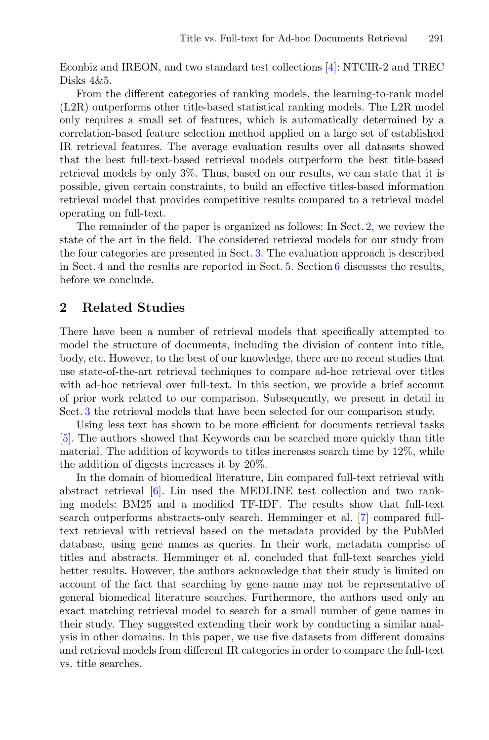Econbiz and IREON, and two standard test collections [\[4\]](#page-12-3): NTCIR-2 and TREC Disks 4&5.

From the different categories of ranking models, the learning-to-rank model (L2R) outperforms other title-based statistical ranking models. The L2R model only requires a small set of features, which is automatically determined by a correlation-based feature selection method applied on a large set of established IR retrieval features. The average evaluation results over all datasets showed that the best full-text-based retrieval models outperform the best title-based retrieval models by only 3%. Thus, based on our results, we can state that it is possible, given certain constraints, to build an effective titles-based information retrieval model that provides competitive results compared to a retrieval model operating on full-text.

The remainder of the paper is organized as follows: In Sect. [2,](#page-1-0) we review the state of the art in the field. The considered retrieval models for our study from the four categories are presented in Sect. [3.](#page-2-0) The evaluation approach is described in Sect. [4](#page-3-0) and the results are reported in Sect. [5.](#page-8-0) Section [6](#page-10-0) discusses the results, before we conclude.

#### <span id="page-1-0"></span>**2 Related Studies**

There have been a number of retrieval models that specifically attempted to model the structure of documents, including the division of content into title, body, etc. However, to the best of our knowledge, there are no recent studies that use state-of-the-art retrieval techniques to compare ad-hoc retrieval over titles with ad-hoc retrieval over full-text. In this section, we provide a brief account of prior work related to our comparison. Subsequently, we present in detail in Sect. [3](#page-2-0) the retrieval models that have been selected for our comparison study.

Using less text has shown to be more efficient for documents retrieval tasks [\[5](#page-12-4)]. The authors showed that Keywords can be searched more quickly than title material. The addition of keywords to titles increases search time by 12%, while the addition of digests increases it by 20%.

In the domain of biomedical literature, Lin compared full-text retrieval with abstract retrieval [\[6](#page-12-5)]. Lin used the MEDLINE test collection and two ranking models: BM25 and a modified TF-IDF. The results show that full-text search outperforms abstracts-only search. Hemminger et al. [\[7](#page-12-6)] compared fulltext retrieval with retrieval based on the metadata provided by the PubMed database, using gene names as queries. In their work, metadata comprise of titles and abstracts. Hemminger et al. concluded that full-text searches yield better results. However, the authors acknowledge that their study is limited on account of the fact that searching by gene name may not be representative of general biomedical literature searches. Furthermore, the authors used only an exact matching retrieval model to search for a small number of gene names in their study. They suggested extending their work by conducting a similar analysis in other domains. In this paper, we use five datasets from different domains and retrieval models from different IR categories in order to compare the full-text vs. title searches.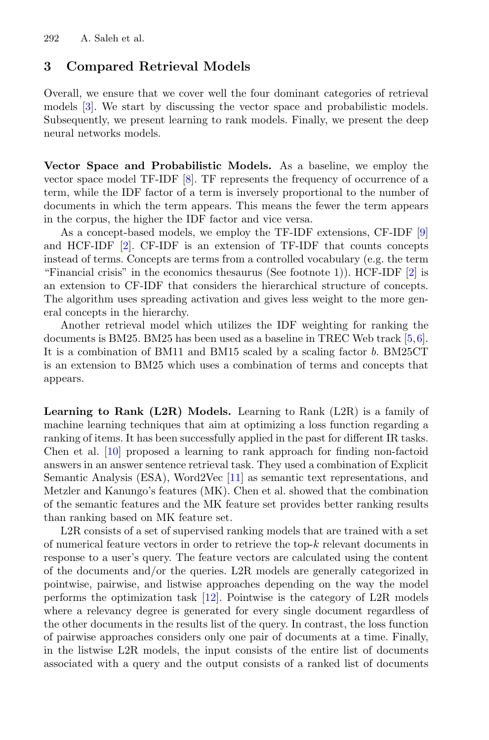### <span id="page-2-0"></span>**3 Compared Retrieval Models**

Overall, we ensure that we cover well the four dominant categories of retrieval models [\[3\]](#page-12-2). We start by discussing the vector space and probabilistic models. Subsequently, we present learning to rank models. Finally, we present the deep neural networks models.

<span id="page-2-1"></span>**Vector Space and Probabilistic Models.** As a baseline, we employ the vector space model TF-IDF [\[8\]](#page-12-7). TF represents the frequency of occurrence of a term, while the IDF factor of a term is inversely proportional to the number of documents in which the term appears. This means the fewer the term appears in the corpus, the higher the IDF factor and vice versa.

As a concept-based models, we employ the TF-IDF extensions, CF-IDF [\[9](#page-12-8)] and HCF-IDF [\[2](#page-12-1)]. CF-IDF is an extension of TF-IDF that counts concepts instead of terms. Concepts are terms from a controlled vocabulary (e.g. the term "Financial crisis" in the economics thesaurus (See footnote 1)). HCF-IDF [\[2](#page-12-1)] is an extension to CF-IDF that considers the hierarchical structure of concepts. The algorithm uses spreading activation and gives less weight to the more general concepts in the hierarchy.

Another retrieval model which utilizes the IDF weighting for ranking the documents is BM25. BM25 has been used as a baseline in TREC Web track [\[5,](#page-12-4)[6\]](#page-12-5). It is a combination of BM11 and BM15 scaled by a scaling factor *b*. BM25CT is an extension to BM25 which uses a combination of terms and concepts that appears.

<span id="page-2-2"></span>**Learning to Rank (L2R) Models.** Learning to Rank (L2R) is a family of machine learning techniques that aim at optimizing a loss function regarding a ranking of items. It has been successfully applied in the past for different IR tasks. Chen et al. [\[10](#page-12-9)] proposed a learning to rank approach for finding non-factoid answers in an answer sentence retrieval task. They used a combination of Explicit Semantic Analysis (ESA), Word2Vec [\[11\]](#page-12-10) as semantic text representations, and Metzler and Kanungo's features (MK). Chen et al. showed that the combination of the semantic features and the MK feature set provides better ranking results than ranking based on MK feature set.

L2R consists of a set of supervised ranking models that are trained with a set of numerical feature vectors in order to retrieve the top-*k* relevant documents in response to a user's query. The feature vectors are calculated using the content of the documents and/or the queries. L2R models are generally categorized in pointwise, pairwise, and listwise approaches depending on the way the model performs the optimization task [\[12](#page-12-11)]. Pointwise is the category of L2R models where a relevancy degree is generated for every single document regardless of the other documents in the results list of the query. In contrast, the loss function of pairwise approaches considers only one pair of documents at a time. Finally, in the listwise L2R models, the input consists of the entire list of documents associated with a query and the output consists of a ranked list of documents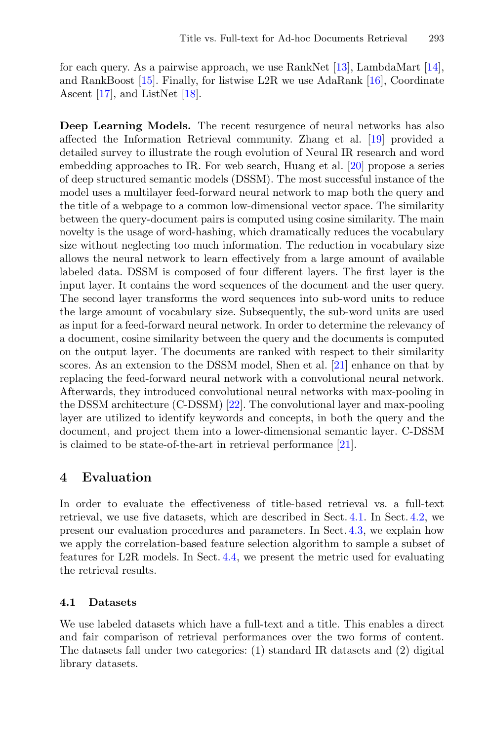for each query. As a pairwise approach, we use RankNet [\[13](#page-12-12)], LambdaMart [\[14\]](#page-12-13), and RankBoost [\[15](#page-12-14)]. Finally, for listwise L2R we use AdaRank [\[16](#page-12-15)], Coordinate Ascent [\[17](#page-12-16)], and ListNet [\[18\]](#page-12-17).

**Deep Learning Models.** The recent resurgence of neural networks has also affected the Information Retrieval community. Zhang et al. [\[19](#page-12-18)] provided a detailed survey to illustrate the rough evolution of Neural IR research and word embedding approaches to IR. For web search, Huang et al. [\[20\]](#page-13-0) propose a series of deep structured semantic models (DSSM). The most successful instance of the model uses a multilayer feed-forward neural network to map both the query and the title of a webpage to a common low-dimensional vector space. The similarity between the query-document pairs is computed using cosine similarity. The main novelty is the usage of word-hashing, which dramatically reduces the vocabulary size without neglecting too much information. The reduction in vocabulary size allows the neural network to learn effectively from a large amount of available labeled data. DSSM is composed of four different layers. The first layer is the input layer. It contains the word sequences of the document and the user query. The second layer transforms the word sequences into sub-word units to reduce the large amount of vocabulary size. Subsequently, the sub-word units are used as input for a feed-forward neural network. In order to determine the relevancy of a document, cosine similarity between the query and the documents is computed on the output layer. The documents are ranked with respect to their similarity scores. As an extension to the DSSM model, Shen et al. [\[21](#page-13-1)] enhance on that by replacing the feed-forward neural network with a convolutional neural network. Afterwards, they introduced convolutional neural networks with max-pooling in the DSSM architecture (C-DSSM) [\[22\]](#page-13-2). The convolutional layer and max-pooling layer are utilized to identify keywords and concepts, in both the query and the document, and project them into a lower-dimensional semantic layer. C-DSSM is claimed to be state-of-the-art in retrieval performance [\[21](#page-13-1)].

### <span id="page-3-0"></span>**4 Evaluation**

In order to evaluate the effectiveness of title-based retrieval vs. a full-text retrieval, we use five datasets, which are described in Sect. [4.1.](#page-3-1) In Sect. [4.2,](#page-5-0) we present our evaluation procedures and parameters. In Sect. [4.3,](#page-7-0) we explain how we apply the correlation-based feature selection algorithm to sample a subset of features for L2R models. In Sect. [4.4,](#page-8-1) we present the metric used for evaluating the retrieval results.

#### <span id="page-3-1"></span>**4.1 Datasets**

We use labeled datasets which have a full-text and a title. This enables a direct and fair comparison of retrieval performances over the two forms of content. The datasets fall under two categories: (1) standard IR datasets and (2) digital library datasets.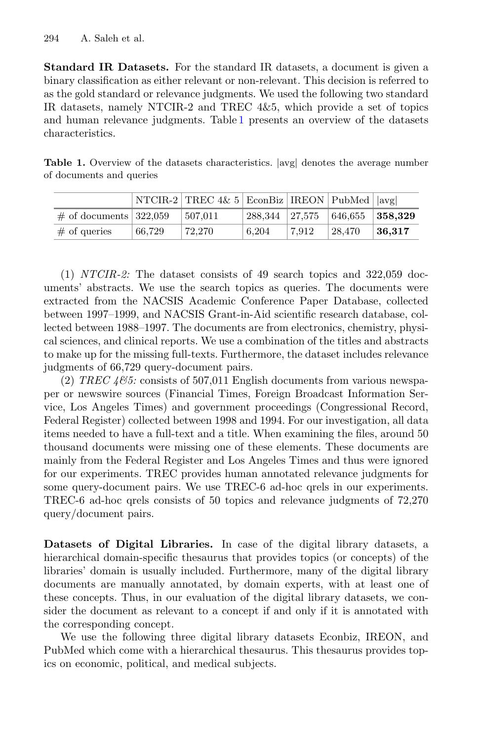**Standard IR Datasets.** For the standard IR datasets, a document is given a binary classification as either relevant or non-relevant. This decision is referred to as the gold standard or relevance judgments. We used the following two standard IR datasets, namely NTCIR-2 and TREC 4&5, which provide a set of topics and human relevance judgments. Table [1](#page-4-0) presents an overview of the datasets characteristics.

<span id="page-4-0"></span>**Table 1.** Overview of the datasets characteristics. *|*avg*|* denotes the average number of documents and queries

|                           |        | NTCIR-2   TREC 4& 5   EconBiz   IREON   PubMed   $\vert \text{avg} \vert$ |                      |       |         |               |
|---------------------------|--------|---------------------------------------------------------------------------|----------------------|-------|---------|---------------|
| $\#$ of documents 322,059 |        | 507,011                                                                   | $1288,344$ $127,575$ |       | 646,655 | $\pm 358.329$ |
| $#$ of queries            | 66.729 | 72.270                                                                    | 6.204                | 7.912 | 28.470  | $\mid 36.317$ |

(1) *NTCIR-2:* The dataset consists of 49 search topics and 322,059 documents' abstracts. We use the search topics as queries. The documents were extracted from the NACSIS Academic Conference Paper Database, collected between 1997–1999, and NACSIS Grant-in-Aid scientific research database, collected between 1988–1997. The documents are from electronics, chemistry, physical sciences, and clinical reports. We use a combination of the titles and abstracts to make up for the missing full-texts. Furthermore, the dataset includes relevance judgments of 66,729 query-document pairs.

(2) *TREC 4&5:* consists of 507,011 English documents from various newspaper or newswire sources (Financial Times, Foreign Broadcast Information Service, Los Angeles Times) and government proceedings (Congressional Record, Federal Register) collected between 1998 and 1994. For our investigation, all data items needed to have a full-text and a title. When examining the files, around 50 thousand documents were missing one of these elements. These documents are mainly from the Federal Register and Los Angeles Times and thus were ignored for our experiments. TREC provides human annotated relevance judgments for some query-document pairs. We use TREC-6 ad-hoc qrels in our experiments. TREC-6 ad-hoc qrels consists of 50 topics and relevance judgments of 72,270 query/document pairs.

**Datasets of Digital Libraries.** In case of the digital library datasets, a hierarchical domain-specific thesaurus that provides topics (or concepts) of the libraries' domain is usually included. Furthermore, many of the digital library documents are manually annotated, by domain experts, with at least one of these concepts. Thus, in our evaluation of the digital library datasets, we consider the document as relevant to a concept if and only if it is annotated with the corresponding concept.

We use the following three digital library datasets Econbiz, IREON, and PubMed which come with a hierarchical thesaurus. This thesaurus provides topics on economic, political, and medical subjects.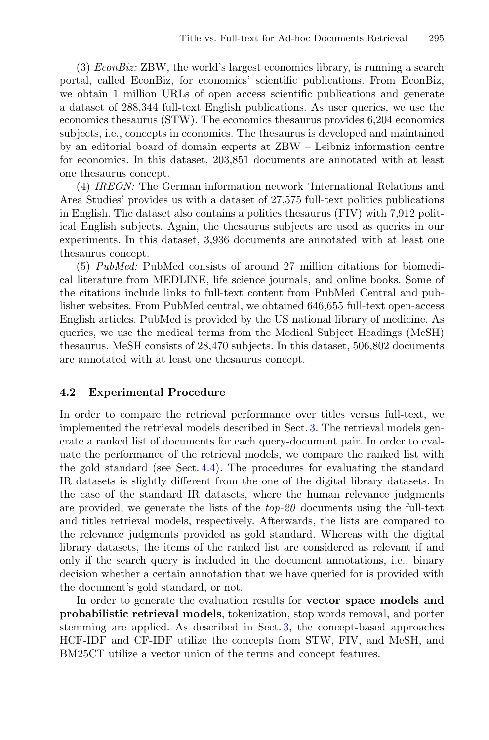(3) *EconBiz:* ZBW, the world's largest economics library, is running a search portal, called EconBiz, for economics' scientific publications. From EconBiz, we obtain 1 million URLs of open access scientific publications and generate a dataset of 288,344 full-text English publications. As user queries, we use the economics thesaurus (STW). The economics thesaurus provides 6,204 economics subjects, i.e., concepts in economics. The thesaurus is developed and maintained by an editorial board of domain experts at ZBW – Leibniz information centre for economics. In this dataset, 203,851 documents are annotated with at least one thesaurus concept.

(4) *IREON:* The German information network 'International Relations and Area Studies' provides us with a dataset of 27,575 full-text politics publications in English. The dataset also contains a politics thesaurus (FIV) with 7,912 political English subjects. Again, the thesaurus subjects are used as queries in our experiments. In this dataset, 3,936 documents are annotated with at least one thesaurus concept.

(5) *PubMed:* PubMed consists of around 27 million citations for biomedical literature from MEDLINE, life science journals, and online books. Some of the citations include links to full-text content from PubMed Central and publisher websites. From PubMed central, we obtained 646,655 full-text open-access English articles. PubMed is provided by the US national library of medicine. As queries, we use the medical terms from the Medical Subject Headings (MeSH) thesaurus. MeSH consists of 28,470 subjects. In this dataset, 506,802 documents are annotated with at least one thesaurus concept.

#### <span id="page-5-0"></span>**4.2 Experimental Procedure**

In order to compare the retrieval performance over titles versus full-text, we implemented the retrieval models described in Sect. [3.](#page-2-0) The retrieval models generate a ranked list of documents for each query-document pair. In order to evaluate the performance of the retrieval models, we compare the ranked list with the gold standard (see Sect. [4.4\)](#page-8-1). The procedures for evaluating the standard IR datasets is slightly different from the one of the digital library datasets. In the case of the standard IR datasets, where the human relevance judgments are provided, we generate the lists of the *top-20* documents using the full-text and titles retrieval models, respectively. Afterwards, the lists are compared to the relevance judgments provided as gold standard. Whereas with the digital library datasets, the items of the ranked list are considered as relevant if and only if the search query is included in the document annotations, i.e., binary decision whether a certain annotation that we have queried for is provided with the document's gold standard, or not.

In order to generate the evaluation results for **vector space models and probabilistic retrieval models**, tokenization, stop words removal, and porter stemming are applied. As described in Sect. [3,](#page-2-1) the concept-based approaches HCF-IDF and CF-IDF utilize the concepts from STW, FIV, and MeSH, and BM25CT utilize a vector union of the terms and concept features.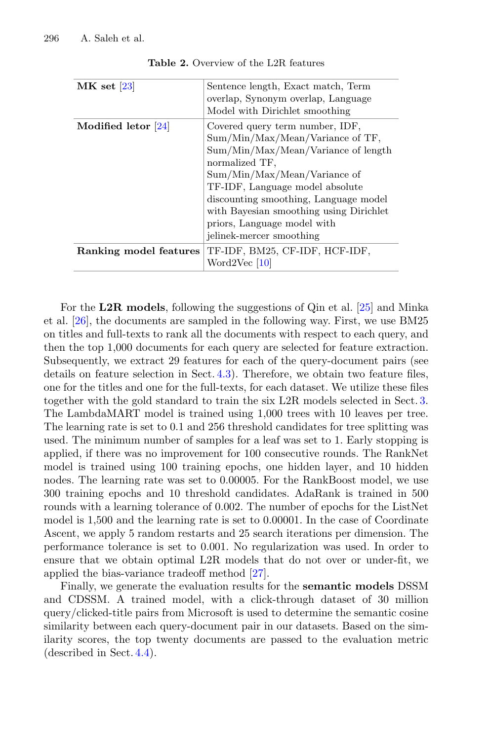<span id="page-6-0"></span>

| $MK$ set [23]          | Sentence length, Exact match, Term<br>overlap, Synonym overlap, Language<br>Model with Dirichlet smoothing                                                                                                                                                                                                                                     |
|------------------------|------------------------------------------------------------------------------------------------------------------------------------------------------------------------------------------------------------------------------------------------------------------------------------------------------------------------------------------------|
| Modified letor $[24]$  | Covered query term number, IDF,<br>Sum/Min/Max/Mean/Variance of TF,<br>Sum/Min/Max/Mean/Variance of length<br>normalized TF,<br>Sum/Min/Max/Mean/Variance of<br>TF-IDF, Language model absolute<br>discounting smoothing, Language model<br>with Bayesian smoothing using Dirichlet<br>priors, Language model with<br>jelinek-mercer smoothing |
| Ranking model features | TF-IDF, BM25, CF-IDF, HCF-IDF,<br>Word2Vec [10]                                                                                                                                                                                                                                                                                                |

**Table 2.** Overview of the L2R features

For the **L2R models**, following the suggestions of Qin et al. [\[25](#page-13-5)] and Minka et al. [\[26](#page-13-6)], the documents are sampled in the following way. First, we use BM25 on titles and full-texts to rank all the documents with respect to each query, and then the top 1,000 documents for each query are selected for feature extraction. Subsequently, we extract 29 features for each of the query-document pairs (see details on feature selection in Sect. [4.3\)](#page-7-0). Therefore, we obtain two feature files, one for the titles and one for the full-texts, for each dataset. We utilize these files together with the gold standard to train the six L2R models selected in Sect. [3.](#page-2-2) The LambdaMART model is trained using 1,000 trees with 10 leaves per tree. The learning rate is set to 0.1 and 256 threshold candidates for tree splitting was used. The minimum number of samples for a leaf was set to 1. Early stopping is applied, if there was no improvement for 100 consecutive rounds. The RankNet model is trained using 100 training epochs, one hidden layer, and 10 hidden nodes. The learning rate was set to 0.00005. For the RankBoost model, we use 300 training epochs and 10 threshold candidates. AdaRank is trained in 500 rounds with a learning tolerance of 0.002. The number of epochs for the ListNet model is 1,500 and the learning rate is set to 0.00001. In the case of Coordinate Ascent, we apply 5 random restarts and 25 search iterations per dimension. The performance tolerance is set to 0.001. No regularization was used. In order to ensure that we obtain optimal L2R models that do not over or under-fit, we applied the bias-variance tradeoff method [\[27\]](#page-13-7).

Finally, we generate the evaluation results for the **semantic models** DSSM and CDSSM. A trained model, with a click-through dataset of 30 million query/clicked-title pairs from Microsoft is used to determine the semantic cosine similarity between each query-document pair in our datasets. Based on the similarity scores, the top twenty documents are passed to the evaluation metric (described in Sect. [4.4\)](#page-8-1).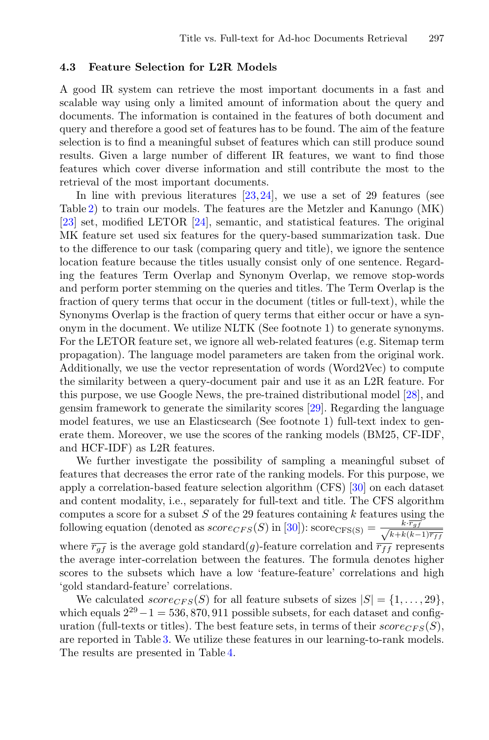#### <span id="page-7-0"></span>**4.3 Feature Selection for L2R Models**

A good IR system can retrieve the most important documents in a fast and scalable way using only a limited amount of information about the query and documents. The information is contained in the features of both document and query and therefore a good set of features has to be found. The aim of the feature selection is to find a meaningful subset of features which can still produce sound results. Given a large number of different IR features, we want to find those features which cover diverse information and still contribute the most to the retrieval of the most important documents.

In line with previous literatures [\[23](#page-13-3),[24\]](#page-13-4), we use a set of 29 features (see Table [2\)](#page-6-0) to train our models. The features are the Metzler and Kanungo (MK) [\[23](#page-13-3)] set, modified LETOR [\[24\]](#page-13-4), semantic, and statistical features. The original MK feature set used six features for the query-based summarization task. Due to the difference to our task (comparing query and title), we ignore the sentence location feature because the titles usually consist only of one sentence. Regarding the features Term Overlap and Synonym Overlap, we remove stop-words and perform porter stemming on the queries and titles. The Term Overlap is the fraction of query terms that occur in the document (titles or full-text), while the Synonyms Overlap is the fraction of query terms that either occur or have a synonym in the document. We utilize NLTK (See footnote 1) to generate synonyms. For the LETOR feature set, we ignore all web-related features (e.g. Sitemap term propagation). The language model parameters are taken from the original work. Additionally, we use the vector representation of words (Word2Vec) to compute the similarity between a query-document pair and use it as an L2R feature. For this purpose, we use Google News, the pre-trained distributional model [\[28](#page-13-8)], and gensim framework to generate the similarity scores [\[29\]](#page-13-9). Regarding the language model features, we use an Elasticsearch (See footnote 1) full-text index to generate them. Moreover, we use the scores of the ranking models (BM25, CF-IDF, and HCF-IDF) as L2R features.

We further investigate the possibility of sampling a meaningful subset of features that decreases the error rate of the ranking models. For this purpose, we apply a correlation-based feature selection algorithm (CFS) [\[30\]](#page-13-10) on each dataset and content modality, i.e., separately for full-text and title. The CFS algorithm computes a score for a subset *S* of the 29 features containing *k* features using the following equation (denoted as  $score_{CFS}(S)$  in [\[30\]](#page-13-10)):  $score_{CFS}(S) = \frac{k \cdot \overline{r_{gf}}}{\sqrt{k + k/k}}$ *<sup>k</sup>*+*k*(*k*−1)*rff* where  $\overline{r_{gf}}$  is the average gold standard(*g*)-feature correlation and  $\overline{r_{ff}}$  represents the average inter-correlation between the features. The formula denotes higher scores to the subsets which have a low 'feature-feature' correlations and high 'gold standard-feature' correlations.

We calculated  $score_{CFS}(S)$  for all feature subsets of sizes  $|S| = \{1, \ldots, 29\},\$ which equals  $2^{29} - 1 = 536,870,911$  possible subsets, for each dataset and configuration (full-texts or titles). The best feature sets, in terms of their  $score_{CFS}(S)$ , are reported in Table [3.](#page-8-2) We utilize these features in our learning-to-rank models. The results are presented in Table [4.](#page-9-0)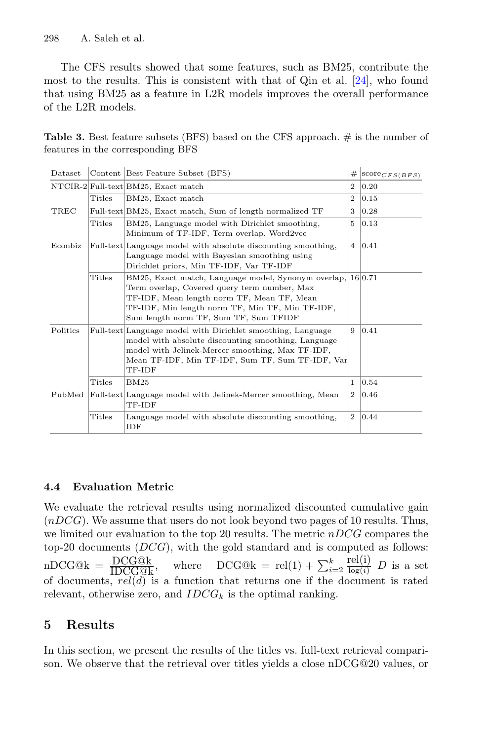The CFS results showed that some features, such as BM25, contribute the most to the results. This is consistent with that of Qin et al. [\[24](#page-13-4)], who found that using BM25 as a feature in L2R models improves the overall performance of the L2R models.

<span id="page-8-2"></span>**Table 3.** Best feature subsets (BFS) based on the CFS approach. # is the number of features in the corresponding BFS

| Dataset  |        | Content Best Feature Subset (BFS)                                                                                                                                                                                                                          | #              | $ score_{CFS(BFS)} $ |
|----------|--------|------------------------------------------------------------------------------------------------------------------------------------------------------------------------------------------------------------------------------------------------------------|----------------|----------------------|
|          |        | NTCIR-2 Full-text BM25, Exact match                                                                                                                                                                                                                        | $\overline{2}$ | 0.20                 |
|          | Titles | BM25, Exact match                                                                                                                                                                                                                                          | $\overline{2}$ | 0.15                 |
| TREC     |        | Full-text BM25, Exact match, Sum of length normalized TF                                                                                                                                                                                                   | 3              | 0.28                 |
|          | Titles | BM25, Language model with Dirichlet smoothing,<br>Minimum of TF-IDF, Term overlap, Word2vec                                                                                                                                                                | 5              | 0.13                 |
| Econbiz  |        | Full-text Language model with absolute discounting smoothing,<br>Language model with Bayesian smoothing using<br>Dirichlet priors, Min TF-IDF, Var TF-IDF                                                                                                  | $\overline{4}$ | 0.41                 |
|          | Titles | $BM25$ , Exact match, Language model, Synonym overlap, $16 0.71$<br>Term overlap, Covered query term number, Max<br>TF-IDF, Mean length norm TF, Mean TF, Mean<br>TF-IDF, Min length norm TF, Min TF, Min TF-IDF,<br>Sum length norm TF, Sum TF, Sum TFIDF |                |                      |
| Politics |        | Full-text Language model with Dirichlet smoothing, Language<br>9<br>model with absolute discounting smoothing, Language<br>model with Jelinek-Mercer smoothing, Max TF-IDF,<br>Mean TF-IDF, Min TF-IDF, Sum TF, Sum TF-IDF, Var<br>TF-IDF                  |                | 0.41                 |
|          | Titles | BM25                                                                                                                                                                                                                                                       | 1              | 0.54                 |
| PubMed   |        | Full-text Language model with Jelinek-Mercer smoothing, Mean<br>TF-IDF                                                                                                                                                                                     | $\overline{2}$ | 0.46                 |
|          | Titles | Language model with absolute discounting smoothing,<br>IDF                                                                                                                                                                                                 | $\overline{2}$ | 0.44                 |

# <span id="page-8-1"></span>**4.4 Evaluation Metric**

We evaluate the retrieval results using normalized discounted cumulative gain (*nDCG*). We assume that users do not look beyond two pages of 10 results. Thus, we limited our evaluation to the top 20 results. The metric *nDCG* compares the top-20 documents (*DCG*), with the gold standard and is computed as follows:  $nDCG@k = \frac{DCG@k}{IDCG@k},$  $\frac{\text{DCG@k}}{\text{IDCG@k}}$ , where  $\text{DCG@k} = \text{rel}(1) + \sum_{i=1}^{k}$  $\frac{k}{i=2}$   $\frac{\text{rel}(i)}{\log(i)}$  $D$  is a set of documents, *rel*(*d*) is a function that returns one if the document is rated relevant, otherwise zero, and  $IDCG_k$  is the optimal ranking.

# <span id="page-8-0"></span>**5 Results**

In this section, we present the results of the titles vs. full-text retrieval comparison. We observe that the retrieval over titles yields a close nDCG@20 values, or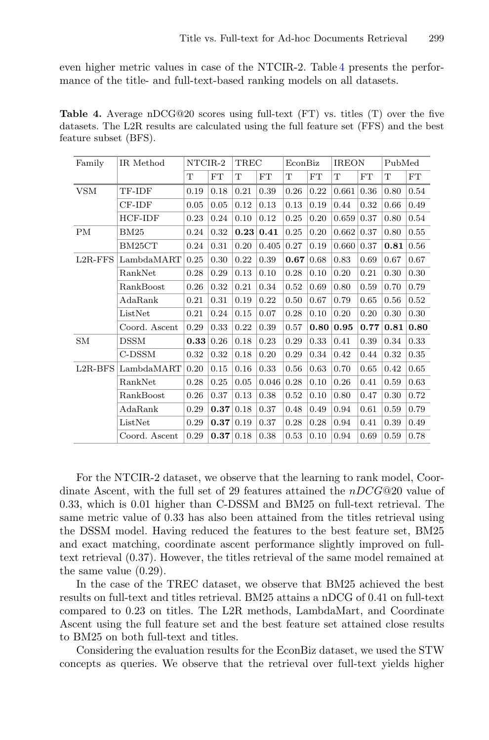even higher metric values in case of the NTCIR-2. Table [4](#page-9-0) presents the performance of the title- and full-text-based ranking models on all datasets.

<span id="page-9-0"></span>**Table 4.** Average nDCG@20 scores using full-text (FT) vs. titles (T) over the five datasets. The L2R results are calculated using the full feature set (FFS) and the best feature subset (BFS).

| Family     | IR Method     | NTCIR-2 |      | TREC |       | EconBiz |      | <b>IREON</b> |      | PubMed |            |
|------------|---------------|---------|------|------|-------|---------|------|--------------|------|--------|------------|
|            |               | T       | FT   | T    | FT    | T       | FT   | T            | FT   | T      | ${\rm FT}$ |
| <b>VSM</b> | TF-IDF        | 0.19    | 0.18 | 0.21 | 0.39  | 0.26    | 0.22 | 0.661        | 0.36 | 0.80   | 0.54       |
|            | $CF$ -IDF     | 0.05    | 0.05 | 0.12 | 0.13  | 0.13    | 0.19 | 0.44         | 0.32 | 0.66   | 0.49       |
|            | HCF-IDF       | 0.23    | 0.24 | 0.10 | 0.12  | 0.25    | 0.20 | 0.659        | 0.37 | 0.80   | 0.54       |
| PM         | BM25          | 0.24    | 0.32 | 0.23 | 0.41  | 0.25    | 0.20 | 0.662        | 0.37 | 0.80   | 0.55       |
|            | BM25CT        | 0.24    | 0.31 | 0.20 | 0.405 | 0.27    | 0.19 | 0.660        | 0.37 | 0.81   | 0.56       |
| $L2R$ -FFS | LambdaMART    | 0.25    | 0.30 | 0.22 | 0.39  | 0.67    | 0.68 | 0.83         | 0.69 | 0.67   | 0.67       |
|            | RankNet       | 0.28    | 0.29 | 0.13 | 0.10  | 0.28    | 0.10 | 0.20         | 0.21 | 0.30   | 0.30       |
|            | RankBoost     | 0.26    | 0.32 | 0.21 | 0.34  | 0.52    | 0.69 | 0.80         | 0.59 | 0.70   | 0.79       |
|            | AdaRank       | 0.21    | 0.31 | 0.19 | 0.22  | 0.50    | 0.67 | 0.79         | 0.65 | 0.56   | 0.52       |
|            | ListNet       | 0.21    | 0.24 | 0.15 | 0.07  | 0.28    | 0.10 | 0.20         | 0.20 | 0.30   | 0.30       |
|            | Coord. Ascent | 0.29    | 0.33 | 0.22 | 0.39  | 0.57    | 0.80 | 0.95         | 0.77 | 0.81   | 0.80       |
| SM         | <b>DSSM</b>   | 0.33    | 0.26 | 0.18 | 0.23  | 0.29    | 0.33 | 0.41         | 0.39 | 0.34   | 0.33       |
|            | C-DSSM        | 0.32    | 0.32 | 0.18 | 0.20  | 0.29    | 0.34 | 0.42         | 0.44 | 0.32   | 0.35       |
| $L2R-BFS$  | LambdaMART    | 0.20    | 0.15 | 0.16 | 0.33  | 0.56    | 0.63 | 0.70         | 0.65 | 0.42   | 0.65       |
|            | RankNet       | 0.28    | 0.25 | 0.05 | 0.046 | 0.28    | 0.10 | 0.26         | 0.41 | 0.59   | 0.63       |
|            | RankBoost     | 0.26    | 0.37 | 0.13 | 0.38  | 0.52    | 0.10 | 0.80         | 0.47 | 0.30   | 0.72       |
|            | AdaRank       | 0.29    | 0.37 | 0.18 | 0.37  | 0.48    | 0.49 | 0.94         | 0.61 | 0.59   | 0.79       |
|            | ListNet       | 0.29    | 0.37 | 0.19 | 0.37  | 0.28    | 0.28 | 0.94         | 0.41 | 0.39   | 0.49       |
|            | Coord. Ascent | 0.29    | 0.37 | 0.18 | 0.38  | 0.53    | 0.10 | 0.94         | 0.69 | 0.59   | 0.78       |

For the NTCIR-2 dataset, we observe that the learning to rank model, Coordinate Ascent, with the full set of 29 features attained the *nDCG*@20 value of 0.33, which is 0.01 higher than C-DSSM and BM25 on full-text retrieval. The same metric value of 0.33 has also been attained from the titles retrieval using the DSSM model. Having reduced the features to the best feature set, BM25 and exact matching, coordinate ascent performance slightly improved on fulltext retrieval (0.37). However, the titles retrieval of the same model remained at the same value (0.29).

In the case of the TREC dataset, we observe that BM25 achieved the best results on full-text and titles retrieval. BM25 attains a nDCG of 0.41 on full-text compared to 0.23 on titles. The L2R methods, LambdaMart, and Coordinate Ascent using the full feature set and the best feature set attained close results to BM25 on both full-text and titles.

Considering the evaluation results for the EconBiz dataset, we used the STW concepts as queries. We observe that the retrieval over full-text yields higher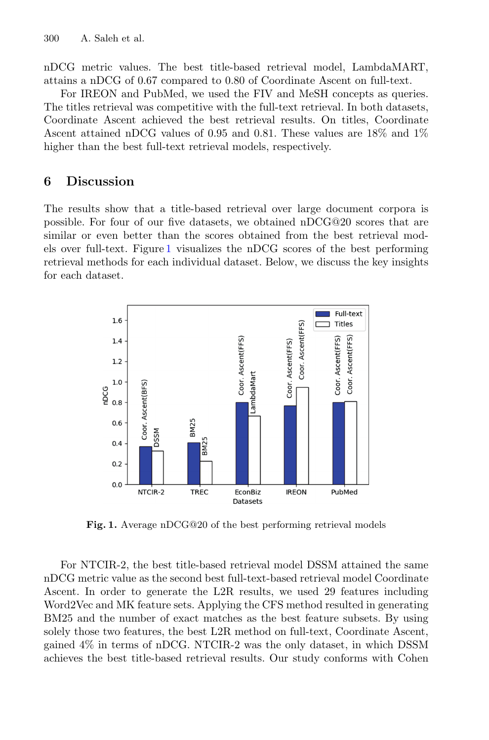nDCG metric values. The best title-based retrieval model, LambdaMART, attains a nDCG of 0*.*67 compared to 0*.*80 of Coordinate Ascent on full-text.

For IREON and PubMed, we used the FIV and MeSH concepts as queries. The titles retrieval was competitive with the full-text retrieval. In both datasets, Coordinate Ascent achieved the best retrieval results. On titles, Coordinate Ascent attained nDCG values of 0*.*95 and 0*.*81. These values are 18% and 1% higher than the best full-text retrieval models, respectively.

# <span id="page-10-0"></span>**6 Discussion**

The results show that a title-based retrieval over large document corpora is possible. For four of our five datasets, we obtained  $nDCG@20$  scores that are similar or even better than the scores obtained from the best retrieval models over full-text. Figure [1](#page-10-1) visualizes the nDCG scores of the best performing retrieval methods for each individual dataset. Below, we discuss the key insights for each dataset.



<span id="page-10-1"></span>**Fig. 1.** Average nDCG@20 of the best performing retrieval models

For NTCIR-2, the best title-based retrieval model DSSM attained the same nDCG metric value as the second best full-text-based retrieval model Coordinate Ascent. In order to generate the L2R results, we used 29 features including Word2Vec and MK feature sets. Applying the CFS method resulted in generating BM25 and the number of exact matches as the best feature subsets. By using solely those two features, the best L2R method on full-text, Coordinate Ascent, gained 4% in terms of nDCG. NTCIR-2 was the only dataset, in which DSSM achieves the best title-based retrieval results. Our study conforms with Cohen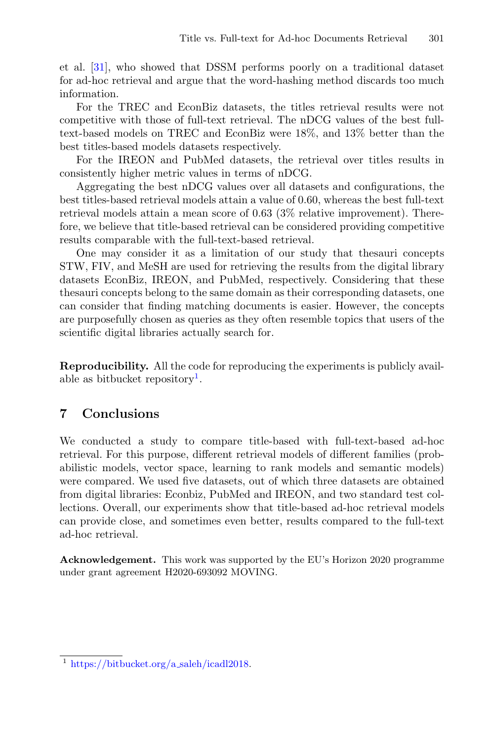et al. [\[31](#page-13-11)], who showed that DSSM performs poorly on a traditional dataset for ad-hoc retrieval and argue that the word-hashing method discards too much information.

For the TREC and EconBiz datasets, the titles retrieval results were not competitive with those of full-text retrieval. The nDCG values of the best fulltext-based models on TREC and EconBiz were 18%, and 13% better than the best titles-based models datasets respectively.

For the IREON and PubMed datasets, the retrieval over titles results in consistently higher metric values in terms of nDCG.

Aggregating the best nDCG values over all datasets and configurations, the best titles-based retrieval models attain a value of 0.60, whereas the best full-text retrieval models attain a mean score of 0.63 (3% relative improvement). Therefore, we believe that title-based retrieval can be considered providing competitive results comparable with the full-text-based retrieval.

One may consider it as a limitation of our study that thesauri concepts STW, FIV, and MeSH are used for retrieving the results from the digital library datasets EconBiz, IREON, and PubMed, respectively. Considering that these thesauri concepts belong to the same domain as their corresponding datasets, one can consider that finding matching documents is easier. However, the concepts are purposefully chosen as queries as they often resemble topics that users of the scientific digital libraries actually search for.

**Reproducibility.** All the code for reproducing the experiments is publicly avail-able as bitbucket repository<sup>[1](#page-11-0)</sup>.

# **7 Conclusions**

We conducted a study to compare title-based with full-text-based ad-hoc retrieval. For this purpose, different retrieval models of different families (probabilistic models, vector space, learning to rank models and semantic models) were compared. We used five datasets, out of which three datasets are obtained from digital libraries: Econbiz, PubMed and IREON, and two standard test collections. Overall, our experiments show that title-based ad-hoc retrieval models can provide close, and sometimes even better, results compared to the full-text ad-hoc retrieval.

**Acknowledgement.** This work was supported by the EU's Horizon 2020 programme under grant agreement H2020-693092 MOVING.

<span id="page-11-0"></span><sup>1</sup> [https://bitbucket.org/a](https://bitbucket.org/a_saleh/icadl2018) saleh/icadl2018.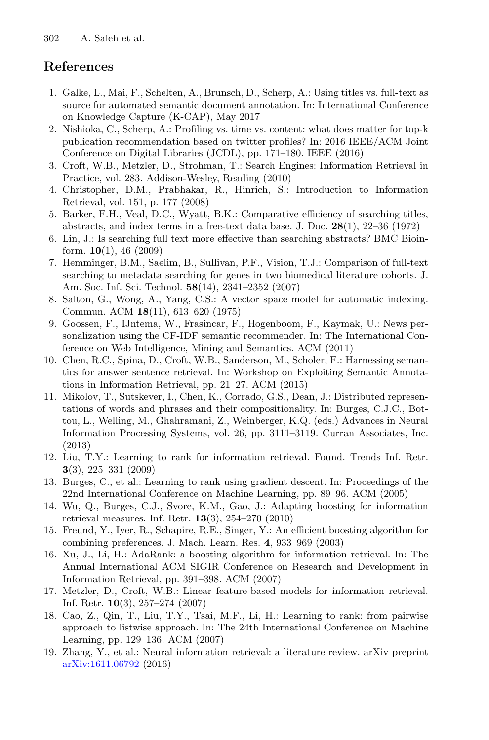# **References**

- <span id="page-12-0"></span>1. Galke, L., Mai, F., Schelten, A., Brunsch, D., Scherp, A.: Using titles vs. full-text as source for automated semantic document annotation. In: International Conference on Knowledge Capture (K-CAP), May 2017
- <span id="page-12-1"></span>2. Nishioka, C., Scherp, A.: Profiling vs. time vs. content: what does matter for top-k publication recommendation based on twitter profiles? In: 2016 IEEE/ACM Joint Conference on Digital Libraries (JCDL), pp. 171–180. IEEE (2016)
- <span id="page-12-2"></span>3. Croft, W.B., Metzler, D., Strohman, T.: Search Engines: Information Retrieval in Practice, vol. 283. Addison-Wesley, Reading (2010)
- <span id="page-12-3"></span>4. Christopher, D.M., Prabhakar, R., Hinrich, S.: Introduction to Information Retrieval, vol. 151, p. 177 (2008)
- <span id="page-12-4"></span>5. Barker, F.H., Veal, D.C., Wyatt, B.K.: Comparative efficiency of searching titles, abstracts, and index terms in a free-text data base. J. Doc. **28**(1), 22–36 (1972)
- <span id="page-12-5"></span>6. Lin, J.: Is searching full text more effective than searching abstracts? BMC Bioinform. **10**(1), 46 (2009)
- <span id="page-12-6"></span>7. Hemminger, B.M., Saelim, B., Sullivan, P.F., Vision, T.J.: Comparison of full-text searching to metadata searching for genes in two biomedical literature cohorts. J. Am. Soc. Inf. Sci. Technol. **58**(14), 2341–2352 (2007)
- <span id="page-12-7"></span>8. Salton, G., Wong, A., Yang, C.S.: A vector space model for automatic indexing. Commun. ACM **18**(11), 613–620 (1975)
- <span id="page-12-8"></span>9. Goossen, F., IJntema, W., Frasincar, F., Hogenboom, F., Kaymak, U.: News personalization using the CF-IDF semantic recommender. In: The International Conference on Web Intelligence, Mining and Semantics. ACM (2011)
- <span id="page-12-9"></span>10. Chen, R.C., Spina, D., Croft, W.B., Sanderson, M., Scholer, F.: Harnessing semantics for answer sentence retrieval. In: Workshop on Exploiting Semantic Annotations in Information Retrieval, pp. 21–27. ACM (2015)
- <span id="page-12-10"></span>11. Mikolov, T., Sutskever, I., Chen, K., Corrado, G.S., Dean, J.: Distributed representations of words and phrases and their compositionality. In: Burges, C.J.C., Bottou, L., Welling, M., Ghahramani, Z., Weinberger, K.Q. (eds.) Advances in Neural Information Processing Systems, vol. 26, pp. 3111–3119. Curran Associates, Inc. (2013)
- <span id="page-12-11"></span>12. Liu, T.Y.: Learning to rank for information retrieval. Found. Trends Inf. Retr. **3**(3), 225–331 (2009)
- <span id="page-12-12"></span>13. Burges, C., et al.: Learning to rank using gradient descent. In: Proceedings of the 22nd International Conference on Machine Learning, pp. 89–96. ACM (2005)
- <span id="page-12-13"></span>14. Wu, Q., Burges, C.J., Svore, K.M., Gao, J.: Adapting boosting for information retrieval measures. Inf. Retr. **13**(3), 254–270 (2010)
- <span id="page-12-14"></span>15. Freund, Y., Iyer, R., Schapire, R.E., Singer, Y.: An efficient boosting algorithm for combining preferences. J. Mach. Learn. Res. **4**, 933–969 (2003)
- <span id="page-12-15"></span>16. Xu, J., Li, H.: AdaRank: a boosting algorithm for information retrieval. In: The Annual International ACM SIGIR Conference on Research and Development in Information Retrieval, pp. 391–398. ACM (2007)
- <span id="page-12-16"></span>17. Metzler, D., Croft, W.B.: Linear feature-based models for information retrieval. Inf. Retr. **10**(3), 257–274 (2007)
- <span id="page-12-17"></span>18. Cao, Z., Qin, T., Liu, T.Y., Tsai, M.F., Li, H.: Learning to rank: from pairwise approach to listwise approach. In: The 24th International Conference on Machine Learning, pp. 129–136. ACM (2007)
- <span id="page-12-18"></span>19. Zhang, Y., et al.: Neural information retrieval: a literature review. arXiv preprint [arXiv:1611.06792](http://arxiv.org/abs/1611.06792) (2016)